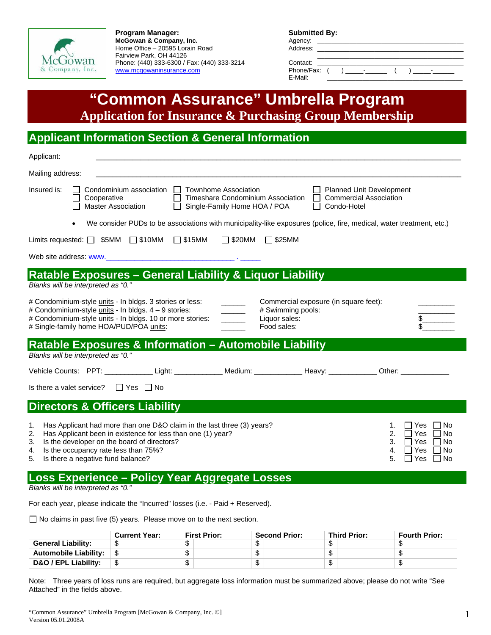

**Program Manager: McGowan & Company, Inc.** Home Office - 20595 Lorain Road Fairview Park, OH 44126<br>
Phone: (440) 333-6300 / Fax: (440) 333-3214 Contact: Phone: (440) 333-6300 / Fax: (440) 333-3214 Contact: \_\_\_\_\_\_\_\_\_\_\_\_\_\_\_\_\_\_\_\_\_\_\_\_\_\_\_\_<br>www.mcgowaninsurance.com www.mcgowaninsurance.com Phone/Fax: ( ) \_\_\_\_\_\_\_\_\_ ( )

|  | <b>Submitted By:</b> |  |
|--|----------------------|--|
|  |                      |  |

| Agency:  |
|----------|
| Address: |
|          |

E-Mail: \_\_\_\_\_\_\_\_\_\_\_\_\_\_\_\_\_\_\_\_\_\_\_\_\_\_\_\_\_\_\_\_\_\_\_\_\_\_

# **"Common Assurance" Umbrella Program Application for Insurance & Purchasing Group Membership**

# **Applicant Information Section & General Information**

| Applicant:                                                                                                                                                                                                                                                                                                                                                                                                                                                                                                                                                                                                                                                                                               |
|----------------------------------------------------------------------------------------------------------------------------------------------------------------------------------------------------------------------------------------------------------------------------------------------------------------------------------------------------------------------------------------------------------------------------------------------------------------------------------------------------------------------------------------------------------------------------------------------------------------------------------------------------------------------------------------------------------|
| Mailing address:                                                                                                                                                                                                                                                                                                                                                                                                                                                                                                                                                                                                                                                                                         |
| Insured is:<br>Townhome Association<br>Condominium association<br><b>Planned Unit Development</b><br>$\mathbf{1}$<br>Cooperative<br>Timeshare Condominium Association<br><b>Commercial Association</b><br><b>Master Association</b><br>Single-Family Home HOA / POA<br>Condo-Hotel<br>We consider PUDs to be associations with municipality-like exposures (police, fire, medical, water treatment, etc.)                                                                                                                                                                                                                                                                                                |
| $\square$ \$10MM<br>$\Box$ \$15MM<br>$\Box$ \$20MM<br>$\Box$ \$25MM<br>Limits requested: $\Box$ \$5MM                                                                                                                                                                                                                                                                                                                                                                                                                                                                                                                                                                                                    |
| Web site address: www.<br><u> 1980 - Johann Barbara, martxa alemaniar a</u>                                                                                                                                                                                                                                                                                                                                                                                                                                                                                                                                                                                                                              |
| Ratable Exposures - General Liability & Liquor Liability                                                                                                                                                                                                                                                                                                                                                                                                                                                                                                                                                                                                                                                 |
| Blanks will be interpreted as "0."                                                                                                                                                                                                                                                                                                                                                                                                                                                                                                                                                                                                                                                                       |
| # Condominium-style units - In bldgs. 3 stories or less:<br>Commercial exposure (in square feet):<br>$\mathcal{L}^{\text{max}}$ , and $\mathcal{L}^{\text{max}}$<br># Condominium-style units - In bldgs. 4 - 9 stories:<br># Swimming pools:<br>$\frac{1}{2}$<br># Condominium-style units - In bldgs. 10 or more stories:<br>Liquor sales:<br># Single-family home HOA/PUD/POA units:<br>Food sales:                                                                                                                                                                                                                                                                                                   |
| Ratable Exposures & Information - Automobile Liability<br>Blanks will be interpreted as "0."                                                                                                                                                                                                                                                                                                                                                                                                                                                                                                                                                                                                             |
| Vehicle Counts: PPT: Light: Light: Medium: Nedium: Neavy: Light: Cher: Cher:<br>Is there a valet service? $\Box$ Yes $\Box$ No                                                                                                                                                                                                                                                                                                                                                                                                                                                                                                                                                                           |
| <b>Directors &amp; Officers Liability</b>                                                                                                                                                                                                                                                                                                                                                                                                                                                                                                                                                                                                                                                                |
| Has Applicant had more than one D&O claim in the last three (3) years?<br>1.<br>□ No<br><b>Yes</b><br>1.<br>Has Applicant been in existence for less than one (1) year?<br>2.<br>2.<br>Yes<br><b>No</b><br>3.<br>Is the developer on the board of directors?<br>3.<br>Yes<br><b>No</b><br>Is the occupancy rate less than 75%?<br>4.<br>4.<br>Yes<br><b>No</b><br>Is there a negative fund balance?<br>5.<br>5.<br>No<br>Yes<br>and the contract of the contract of the contract of the contract of the contract of the contract of the contract of the contract of the contract of the contract of the contract of the contract of the contract of the contra<br>and a strong state of the state of the |

**Loss Experience – Policy Year Aggregate Losses**  *Blanks will be interpreted as "0."* 

For each year, please indicate the "Incurred" losses (i.e. - Paid + Reserved).

 $\Box$  No claims in past five (5) years. Please move on to the next section.

|                              | <b>Current Year:</b> | <b>First Prior:</b> | <b>Second Prior:</b> | Third Prior: | <b>Fourth Prior:</b> |
|------------------------------|----------------------|---------------------|----------------------|--------------|----------------------|
| <b>General Liability:</b>    | ሶ<br>ъ               |                     |                      | - 13         |                      |
| <b>Automobile Liability:</b> | \$                   |                     |                      | w            |                      |
| D&O / EPL Liability:         | $\bullet$<br>ъ       |                     |                      | ۰D           |                      |

Note: Three years of loss runs are required, but aggregate loss information must be summarized above; please do not write "See Attached" in the fields above.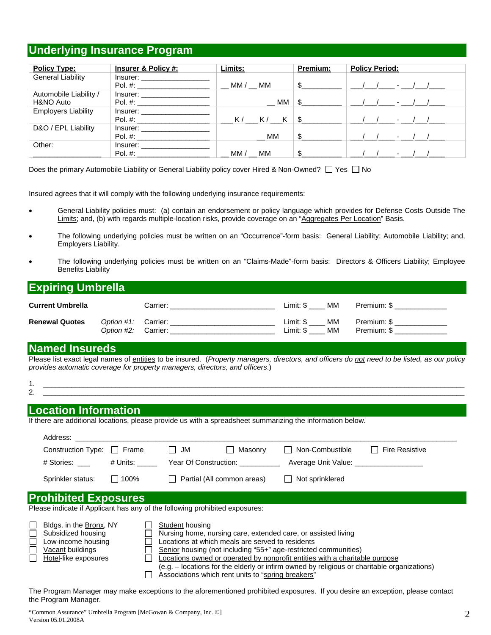# **Underlying Insurance Program**

| <b>Policy Type:</b>        | <b>Insurer &amp; Policy #:</b>                                                                                                                                                                                                 | Limits:        | <b>Premium:</b> | <b>Policy Period:</b>    |
|----------------------------|--------------------------------------------------------------------------------------------------------------------------------------------------------------------------------------------------------------------------------|----------------|-----------------|--------------------------|
| <b>General Liability</b>   | Insurer: the contract of the contract of the contract of the contract of the contract of the contract of the contract of the contract of the contract of the contract of the contract of the contract of the contract of the c |                |                 |                          |
|                            | Pol. #: $\_$                                                                                                                                                                                                                   | $MM / \_\ M$   | \$              |                          |
| Automobile Liability /     | Insurer:                                                                                                                                                                                                                       |                |                 |                          |
| H&NO Auto                  | Pol. #:                                                                                                                                                                                                                        | $\_$ MM        |                 | $\overline{\phantom{a}}$ |
| <b>Employers Liability</b> | Insurer:                                                                                                                                                                                                                       |                |                 |                          |
|                            | $Pol. \#:$                                                                                                                                                                                                                     | $K/\_\$ K/ $K$ |                 |                          |
| D&O / EPL Liability        | Insurer:                                                                                                                                                                                                                       |                |                 |                          |
|                            | $Pol. \#:$                                                                                                                                                                                                                     | MM             | \$              |                          |
| Other:                     | Insurer:                                                                                                                                                                                                                       |                |                 |                          |
|                            | Pol. #:                                                                                                                                                                                                                        | MM / MM        | \$              |                          |

Does the primary Automobile Liability or General Liability policy cover Hired & Non-Owned?  $\Box$  Yes  $\Box$  No

Insured agrees that it will comply with the following underlying insurance requirements:

- General Liability policies must: (a) contain an endorsement or policy language which provides for Defense Costs Outside The Limits; and, (b) with regards multiple-location risks, provide coverage on an "Aggregates Per Location" Basis.
- The following underlying policies must be written on an "Occurrence"-form basis: General Liability; Automobile Liability; and, Employers Liability.
- The following underlying policies must be written on an "Claims-Made"-form basis: Directors & Officers Liability; Employee Benefits Liability

#### **Expiring Umbrella**

| <b>Current Umbrella</b> |            | Carrier <sup>.</sup> | ∟imit: \$ | MМ | Premium: \$ |
|-------------------------|------------|----------------------|-----------|----|-------------|
| <b>Renewal Quotes</b>   | Option #1: | Carrier:             | ∟imit: \$ | MМ | Premium: \$ |
|                         | Option #2: | Carrier:             | Limit: \$ | MМ | Premium: \$ |

#### **Named Insureds**

Vacant buildings

Please list exact legal names of entities to be insured. (*Property managers, directors, and officers do not need to be listed, as our policy provides automatic coverage for property managers, directors, and officers*.)

1. \_\_\_\_\_\_\_\_\_\_\_\_\_\_\_\_\_\_\_\_\_\_\_\_\_\_\_\_\_\_\_\_\_\_\_\_\_\_\_\_\_\_\_\_\_\_\_\_\_\_\_\_\_\_\_\_\_\_\_\_\_\_\_\_\_\_\_\_\_\_\_\_\_\_\_\_\_\_\_\_\_\_\_\_\_\_\_\_\_\_\_\_\_\_\_\_\_\_\_\_\_\_\_\_\_ 2. \_\_\_\_\_\_\_\_\_\_\_\_\_\_\_\_\_\_\_\_\_\_\_\_\_\_\_\_\_\_\_\_\_\_\_\_\_\_\_\_\_\_\_\_\_\_\_\_\_\_\_\_\_\_\_\_\_\_\_\_\_\_\_\_\_\_\_\_\_\_\_\_\_\_\_\_\_\_\_\_\_\_\_\_\_\_\_\_\_\_\_\_\_\_\_\_\_\_\_\_\_\_\_\_\_

#### **Location Information**

If there are additional locations, please provide us with a spreadsheet summarizing the information below.

| Address:                                                                    |              |                        |                                                  |                                                                                                                                                                                                                                |                                 |
|-----------------------------------------------------------------------------|--------------|------------------------|--------------------------------------------------|--------------------------------------------------------------------------------------------------------------------------------------------------------------------------------------------------------------------------------|---------------------------------|
| Construction Type:                                                          | <b>Frame</b> | I JM                   | Masonry                                          | Non-Combustible                                                                                                                                                                                                                | <b>Fire Resistive</b><br>$\Box$ |
| # Stories: ___                                                              | # Units:     |                        | Year Of Construction: __________                 | Average Unit Value: New York Change of the Muslim Change of the Muslim Change of the Muslim Change of the Muslim Change of the Muslim Change of the Muslim Change of the Muslim Change of the Muslim Change of the Muslim Chan |                                 |
| Sprinkler status:                                                           | $\Box$ 100%  | $\perp$                | Partial (All common areas)                       | Not sprinklered<br>$\Box$                                                                                                                                                                                                      |                                 |
| <b>Prohibited Exposures</b>                                                 |              |                        |                                                  |                                                                                                                                                                                                                                |                                 |
| Please indicate if Applicant has any of the following prohibited exposures: |              |                        |                                                  |                                                                                                                                                                                                                                |                                 |
| Bldgs. in the Bronx, NY<br>Subsidized housing<br>Low-income housing         |              | <b>Student housing</b> | Locations at which meals are served to residents | Nursing home, nursing care, extended care, or assisted living                                                                                                                                                                  |                                 |

|  | Senior housing (not including "55+" age-restricted communities) |  |  |  |  |  |  |
|--|-----------------------------------------------------------------|--|--|--|--|--|--|
|  |                                                                 |  |  |  |  |  |  |

- Hotel-like exposures <br>  $\Box$  Locations owned or operated by nonprofit entities with a charitable purpose
	- (e.g. locations for the elderly or infirm owned by religious or charitable organizations)
	- $\Box$  Associations which rent units to "spring breakers"

The Program Manager may make exceptions to the aforementioned prohibited exposures. If you desire an exception, please contact the Program Manager.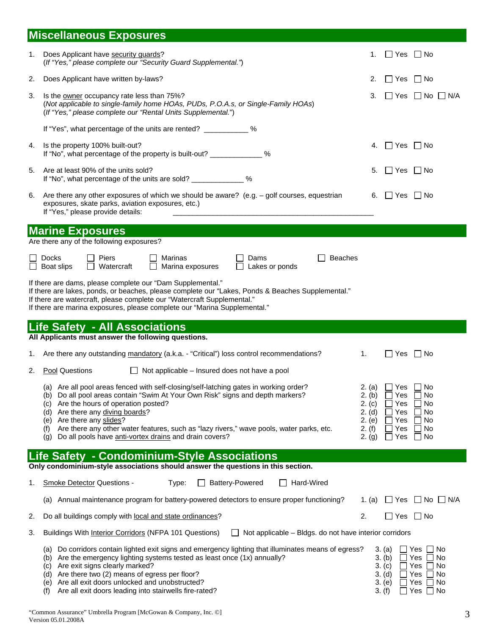# **Miscellaneous Exposures**

| 1.       | Does Applicant have security guards?<br>(If "Yes," please complete our "Security Guard Supplemental.")                                                                                                                                                                                                                                                                                                                                          | 1.                                                                 |                                                                       | $\Box$ Yes $\Box$ No                                   |  |
|----------|-------------------------------------------------------------------------------------------------------------------------------------------------------------------------------------------------------------------------------------------------------------------------------------------------------------------------------------------------------------------------------------------------------------------------------------------------|--------------------------------------------------------------------|-----------------------------------------------------------------------|--------------------------------------------------------|--|
| 2.       | Does Applicant have written by-laws?                                                                                                                                                                                                                                                                                                                                                                                                            | 2.                                                                 |                                                                       | $\Box$ Yes $\Box$ No                                   |  |
| З.       | Is the owner occupancy rate less than 75%?<br>(Not applicable to single-family home HOAs, PUDs, P.O.A.s, or Single-Family HOAs)<br>(If "Yes," please complete our "Rental Units Supplemental.")                                                                                                                                                                                                                                                 | 3.                                                                 |                                                                       | $\Box$ Yes $\Box$ No $\Box$ N/A                        |  |
|          | If "Yes", what percentage of the units are rented? _____________ %                                                                                                                                                                                                                                                                                                                                                                              |                                                                    |                                                                       |                                                        |  |
| 4.       | Is the property 100% built-out?<br>If "No", what percentage of the property is built-out? _______________ %                                                                                                                                                                                                                                                                                                                                     | 4.                                                                 |                                                                       | $\Box$ Yes $\Box$ No                                   |  |
| 5.       | Are at least 90% of the units sold?<br>If "No", what percentage of the units are sold? _______________ %                                                                                                                                                                                                                                                                                                                                        | 5.                                                                 |                                                                       | $\Box$ Yes $\Box$ No                                   |  |
| 6.       | Are there any other exposures of which we should be aware? (e.g. - golf courses, equestrian<br>exposures, skate parks, aviation exposures, etc.)<br>If "Yes," please provide details:                                                                                                                                                                                                                                                           | 6.                                                                 |                                                                       | $\Box$ Yes $\Box$ No                                   |  |
|          | <b>Marine Exposures</b><br>Are there any of the following exposures?                                                                                                                                                                                                                                                                                                                                                                            |                                                                    |                                                                       |                                                        |  |
|          | <b>Docks</b><br>Piers<br>Marinas<br>Dams<br><b>Beaches</b><br>Watercraft<br>$\Box$ Lakes or ponds<br>Boat slips<br>$\Box$<br>Marina exposures                                                                                                                                                                                                                                                                                                   |                                                                    |                                                                       |                                                        |  |
|          | If there are dams, please complete our "Dam Supplemental."<br>If there are lakes, ponds, or beaches, please complete our "Lakes, Ponds & Beaches Supplemental."<br>If there are watercraft, please complete our "Watercraft Supplemental."<br>If there are marina exposures, please complete our "Marina Supplemental."                                                                                                                         |                                                                    |                                                                       |                                                        |  |
|          | <b>Life Safety - All Associations</b><br>All Applicants must answer the following questions.                                                                                                                                                                                                                                                                                                                                                    |                                                                    |                                                                       |                                                        |  |
| 1.       | Are there any outstanding mandatory (a.k.a. - "Critical") loss control recommendations?                                                                                                                                                                                                                                                                                                                                                         | 1.                                                                 |                                                                       | $\Box$ Yes $\Box$ No                                   |  |
| 2.       | Pool Questions<br>Not applicable - Insured does not have a pool<br>$\perp$                                                                                                                                                                                                                                                                                                                                                                      |                                                                    |                                                                       |                                                        |  |
|          | (a) Are all pool areas fenced with self-closing/self-latching gates in working order?<br>(b) Do all pool areas contain "Swim At Your Own Risk" signs and depth markers?<br>(c) Are the hours of operation posted?<br>(d) Are there any diving boards?<br>(e) Are there any slides?<br>Are there any other water features, such as "lazy rivers," wave pools, water parks, etc.<br>(f)<br>Do all pools have anti-vortex drains and drain covers? | 2. (a)<br>2. (b)<br>2. (c)<br>2. (d)<br>2. (e)<br>2. (f)<br>2. (g) | Yes<br>$\Box$ Yes<br>Yes<br>Yes<br>Yes<br>$\exists$ Yes<br>$\Box$ Yes | ∣ ∣No<br>∣ ∣No<br>No<br>No<br>No<br>$\Box$ No<br>l INo |  |
|          | Life Safety - Condominium-Style Associations                                                                                                                                                                                                                                                                                                                                                                                                    |                                                                    |                                                                       |                                                        |  |
|          | Only condominium-style associations should answer the questions in this section.                                                                                                                                                                                                                                                                                                                                                                |                                                                    |                                                                       |                                                        |  |
|          | <b>Battery-Powered</b><br>Hard-Wired<br><b>Smoke Detector Questions -</b><br>Type:<br>$\mathsf{L}$                                                                                                                                                                                                                                                                                                                                              |                                                                    |                                                                       |                                                        |  |
|          | (a) Annual maintenance program for battery-powered detectors to ensure proper functioning?                                                                                                                                                                                                                                                                                                                                                      | 1. (a)                                                             | $\Box$ Yes                                                            | $\Box$ No $\Box$ N/A                                   |  |
| 1.<br>2. | Do all buildings comply with local and state ordinances?                                                                                                                                                                                                                                                                                                                                                                                        | 2.                                                                 | $\square$ Yes                                                         | $\Box$ No                                              |  |
| 3.       | Buildings With Interior Corridors (NFPA 101 Questions)<br>Not applicable - Bldgs. do not have interior corridors<br>$\mathbf{L}$<br>(a) Do corridors contain lighted exit signs and emergency lighting that illuminates means of egress?                                                                                                                                                                                                        |                                                                    | 3. (a)                                                                | $\Box$ No                                              |  |